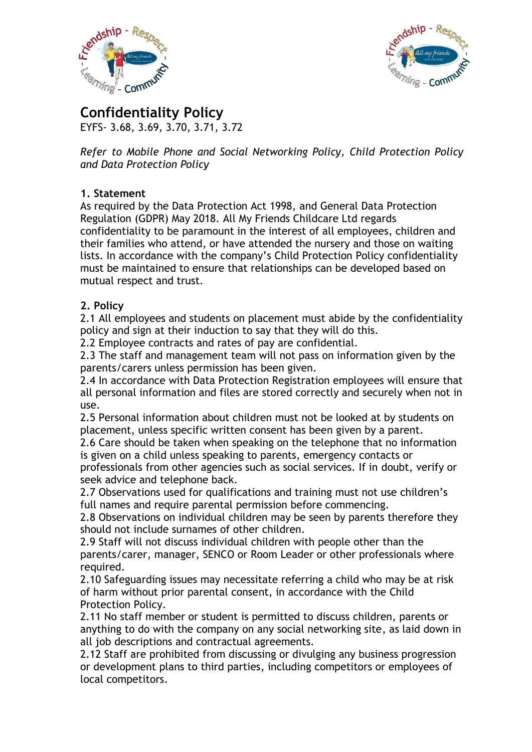



**Confidentiality Policy** EYFS- 3.68, 3.69, 3.70, 3.71, 3.72

*Refer to Mobile Phone and Social Networking Policy, Child Protection Policy and Data Protection Policy*

## **1. Statement**

As required by the Data Protection Act 1998, and General Data Protection Regulation (GDPR) May 2018. All My Friends Childcare Ltd regards confidentiality to be paramount in the interest of all employees, children and their families who attend, or have attended the nursery and those on waiting lists. In accordance with the company's Child Protection Policy confidentiality must be maintained to ensure that relationships can be developed based on mutual respect and trust.

## **2. Policy**

2.1 All employees and students on placement must abide by the confidentiality policy and sign at their induction to say that they will do this.

2.2 Employee contracts and rates of pay are confidential.

2.3 The staff and management team will not pass on information given by the parents/carers unless permission has been given.

2.4 In accordance with Data Protection Registration employees will ensure that all personal information and files are stored correctly and securely when not in use.

2.5 Personal information about children must not be looked at by students on placement, unless specific written consent has been given by a parent.

2.6 Care should be taken when speaking on the telephone that no information is given on a child unless speaking to parents, emergency contacts or

professionals from other agencies such as social services. If in doubt, verify or seek advice and telephone back.

2.7 Observations used for qualifications and training must not use children's full names and require parental permission before commencing.

2.8 Observations on individual children may be seen by parents therefore they should not include surnames of other children.

2.9 Staff will not discuss individual children with people other than the parents/carer, manager, SENCO or Room Leader or other professionals where required.

2.10 Safeguarding issues may necessitate referring a child who may be at risk of harm without prior parental consent, in accordance with the Child Protection Policy.

2.11 No staff member or student is permitted to discuss children, parents or anything to do with the company on any social networking site, as laid down in all job descriptions and contractual agreements.

2.12 Staff are prohibited from discussing or divulging any business progression or development plans to third parties, including competitors or employees of local competitors.